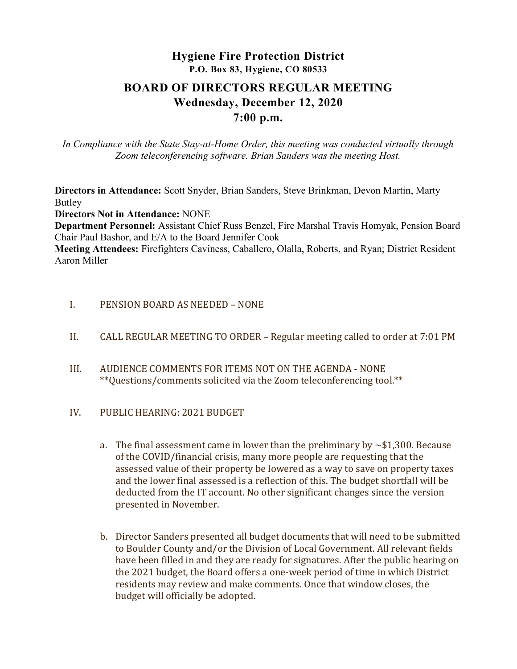# Hygiene Fire Protection District P.O. Box 83, Hygiene, CO 80533

# BOARD OF DIRECTORS REGULAR MEETING Wednesday, December 12, 2020 7:00 p.m.

In Compliance with the State Stay-at-Home Order, this meeting was conducted virtually through Zoom teleconferencing software. Brian Sanders was the meeting Host.

Directors in Attendance: Scott Snyder, Brian Sanders, Steve Brinkman, Devon Martin, Marty Butley

Directors Not in Attendance: NONE

Department Personnel: Assistant Chief Russ Benzel, Fire Marshal Travis Homyak, Pension Board Chair Paul Bashor, and E/A to the Board Jennifer Cook

Meeting Attendees: Firefighters Caviness, Caballero, Olalla, Roberts, and Ryan; District Resident Aaron Miller

- I. PENSION BOARD AS NEEDED NONE
- II. CALL REGULAR MEETING TO ORDER Regular meeting called to order at 7:01 PM
- III. AUDIENCE COMMENTS FOR ITEMS NOT ON THE AGENDA NONE \*\*Questions/comments solicited via the Zoom teleconferencing tool.\*\*
- IV. PUBLIC HEARING: 2021 BUDGET
	- a. The final assessment came in lower than the preliminary by  $\sim$  \$1,300. Because of the COVID/financial crisis, many more people are requesting that the assessed value of their property be lowered as a way to save on property taxes and the lower final assessed is a reflection of this. The budget shortfall will be deducted from the IT account. No other significant changes since the version presented in November.
	- b. Director Sanders presented all budget documents that will need to be submitted to Boulder County and/or the Division of Local Government. All relevant fields have been filled in and they are ready for signatures. After the public hearing on the 2021 budget, the Board offers a one-week period of time in which District residents may review and make comments. Once that window closes, the budget will officially be adopted.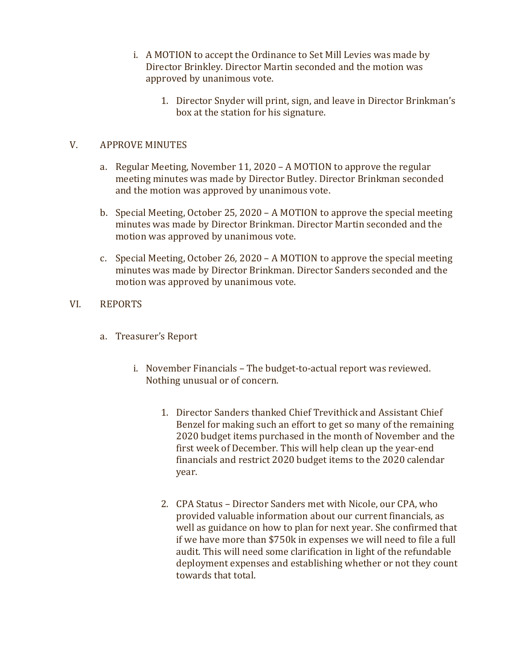- i. A MOTION to accept the Ordinance to Set Mill Levies was made by Director Brinkley. Director Martin seconded and the motion was approved by unanimous vote.
	- 1. Director Snyder will print, sign, and leave in Director Brinkman's box at the station for his signature.

# V. APPROVE MINUTES

- a. Regular Meeting, November 11, 2020 A MOTION to approve the regular meeting minutes was made by Director Butley. Director Brinkman seconded and the motion was approved by unanimous vote.
- b. Special Meeting, October 25, 2020 A MOTION to approve the special meeting minutes was made by Director Brinkman. Director Martin seconded and the motion was approved by unanimous vote.
- c. Special Meeting, October 26, 2020 A MOTION to approve the special meeting minutes was made by Director Brinkman. Director Sanders seconded and the motion was approved by unanimous vote.

# VI. REPORTS

- a. Treasurer's Report
	- i. November Financials The budget-to-actual report was reviewed. Nothing unusual or of concern.
		- 1. Director Sanders thanked Chief Trevithick and Assistant Chief Benzel for making such an effort to get so many of the remaining 2020 budget items purchased in the month of November and the first week of December. This will help clean up the year-end financials and restrict 2020 budget items to the 2020 calendar year.
		- 2. CPA Status Director Sanders met with Nicole, our CPA, who provided valuable information about our current financials, as well as guidance on how to plan for next year. She confirmed that if we have more than \$750k in expenses we will need to file a full audit. This will need some clarification in light of the refundable deployment expenses and establishing whether or not they count towards that total.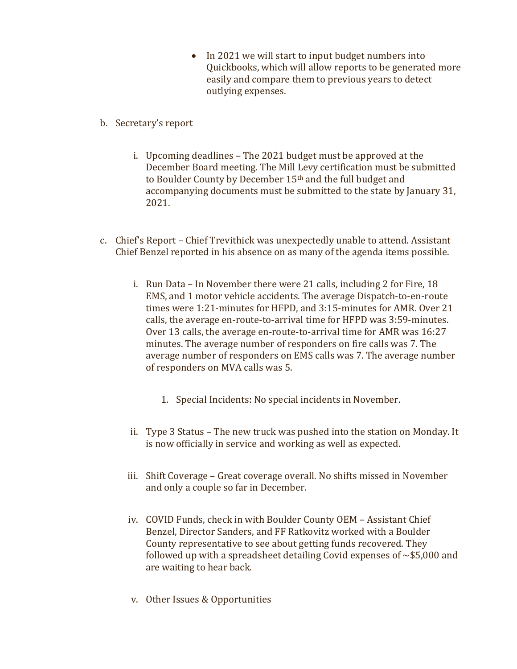• In 2021 we will start to input budget numbers into Quickbooks, which will allow reports to be generated more easily and compare them to previous years to detect outlying expenses.

#### b. Secretary's report

- i. Upcoming deadlines The 2021 budget must be approved at the December Board meeting. The Mill Levy certification must be submitted to Boulder County by December 15th and the full budget and accompanying documents must be submitted to the state by January 31, 2021.
- c. Chief's Report Chief Trevithick was unexpectedly unable to attend. Assistant Chief Benzel reported in his absence on as many of the agenda items possible.
	- i. Run Data In November there were 21 calls, including 2 for Fire, 18 EMS, and 1 motor vehicle accidents. The average Dispatch-to-en-route times were 1:21-minutes for HFPD, and 3:15-minutes for AMR. Over 21 calls, the average en-route-to-arrival time for HFPD was 3:59-minutes. Over 13 calls, the average en-route-to-arrival time for AMR was 16:27 minutes. The average number of responders on fire calls was 7. The average number of responders on EMS calls was 7. The average number of responders on MVA calls was 5.
		- 1. Special Incidents: No special incidents in November.
	- ii. Type 3 Status The new truck was pushed into the station on Monday. It is now officially in service and working as well as expected.
	- iii. Shift Coverage Great coverage overall. No shifts missed in November and only a couple so far in December.
	- iv. COVID Funds, check in with Boulder County OEM Assistant Chief Benzel, Director Sanders, and FF Ratkovitz worked with a Boulder County representative to see about getting funds recovered. They followed up with a spreadsheet detailing Covid expenses of  $\sim$ \$5,000 and are waiting to hear back.
	- v. Other Issues & Opportunities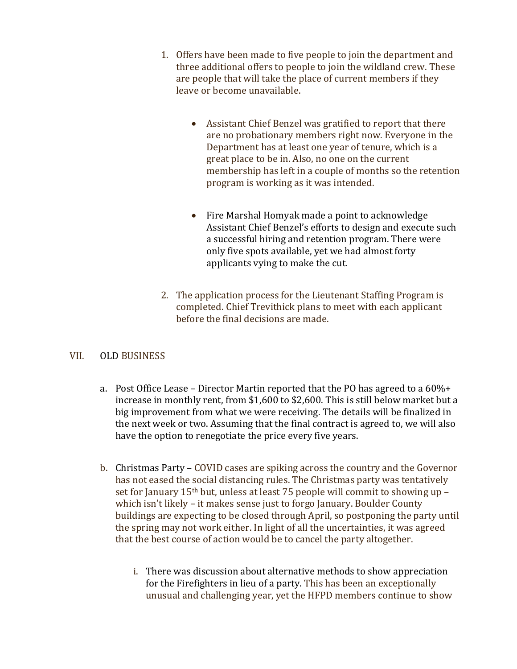- 1. Offers have been made to five people to join the department and three additional offers to people to join the wildland crew. These are people that will take the place of current members if they leave or become unavailable.
	- Assistant Chief Benzel was gratified to report that there are no probationary members right now. Everyone in the Department has at least one year of tenure, which is a great place to be in. Also, no one on the current membership has left in a couple of months so the retention program is working as it was intended.
	- Fire Marshal Homyak made a point to acknowledge Assistant Chief Benzel's efforts to design and execute such a successful hiring and retention program. There were only five spots available, yet we had almost forty applicants vying to make the cut.
- 2. The application process for the Lieutenant Staffing Program is completed. Chief Trevithick plans to meet with each applicant before the final decisions are made.

### VII. OLD BUSINESS

- a. Post Office Lease Director Martin reported that the PO has agreed to a  $60\% +$ increase in monthly rent, from \$1,600 to \$2,600. This is still below market but a big improvement from what we were receiving. The details will be finalized in the next week or two. Assuming that the final contract is agreed to, we will also have the option to renegotiate the price every five years.
- b. Christmas Party COVID cases are spiking across the country and the Governor has not eased the social distancing rules. The Christmas party was tentatively set for January  $15<sup>th</sup>$  but, unless at least 75 people will commit to showing up – which isn't likely – it makes sense just to forgo January. Boulder County buildings are expecting to be closed through April, so postponing the party until the spring may not work either. In light of all the uncertainties, it was agreed that the best course of action would be to cancel the party altogether.
	- i. There was discussion about alternative methods to show appreciation for the Firefighters in lieu of a party. This has been an exceptionally unusual and challenging year, yet the HFPD members continue to show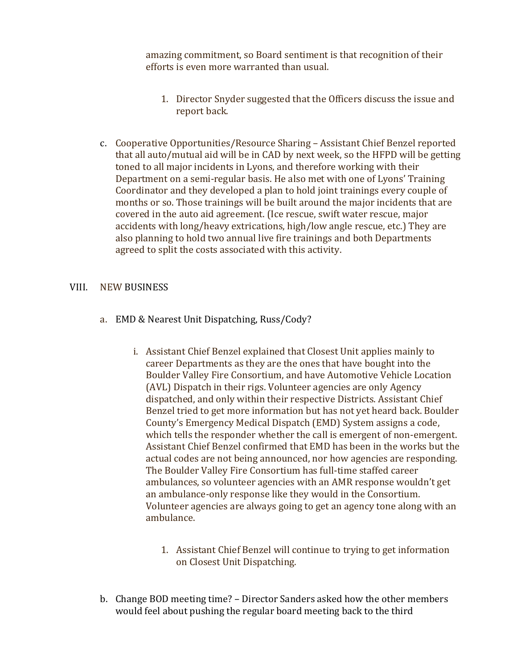amazing commitment, so Board sentiment is that recognition of their efforts is even more warranted than usual.

- 1. Director Snyder suggested that the Officers discuss the issue and report back.
- c. Cooperative Opportunities/Resource Sharing Assistant Chief Benzel reported that all auto/mutual aid will be in CAD by next week, so the HFPD will be getting toned to all major incidents in Lyons, and therefore working with their Department on a semi-regular basis. He also met with one of Lyons' Training Coordinator and they developed a plan to hold joint trainings every couple of months or so. Those trainings will be built around the major incidents that are covered in the auto aid agreement. (Ice rescue, swift water rescue, major accidents with long/heavy extrications, high/low angle rescue, etc.) They are also planning to hold two annual live fire trainings and both Departments agreed to split the costs associated with this activity.

### VIII. NEW BUSINESS

- a. EMD & Nearest Unit Dispatching, Russ/Cody?
	- i. Assistant Chief Benzel explained that Closest Unit applies mainly to career Departments as they are the ones that have bought into the Boulder Valley Fire Consortium, and have Automotive Vehicle Location (AVL) Dispatch in their rigs. Volunteer agencies are only Agency dispatched, and only within their respective Districts. Assistant Chief Benzel tried to get more information but has not yet heard back. Boulder County's Emergency Medical Dispatch (EMD) System assigns a code, which tells the responder whether the call is emergent of non-emergent. Assistant Chief Benzel confirmed that EMD has been in the works but the actual codes are not being announced, nor how agencies are responding. The Boulder Valley Fire Consortium has full-time staffed career ambulances, so volunteer agencies with an AMR response wouldn't get an ambulance-only response like they would in the Consortium. Volunteer agencies are always going to get an agency tone along with an ambulance.
		- 1. Assistant Chief Benzel will continue to trying to get information on Closest Unit Dispatching.
- b. Change BOD meeting time? Director Sanders asked how the other members would feel about pushing the regular board meeting back to the third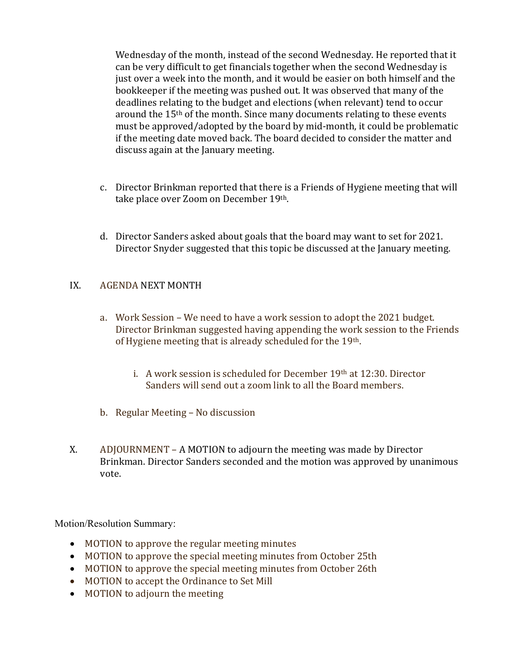Wednesday of the month, instead of the second Wednesday. He reported that it can be very difficult to get financials together when the second Wednesday is just over a week into the month, and it would be easier on both himself and the bookkeeper if the meeting was pushed out. It was observed that many of the deadlines relating to the budget and elections (when relevant) tend to occur around the 15th of the month. Since many documents relating to these events must be approved/adopted by the board by mid-month, it could be problematic if the meeting date moved back. The board decided to consider the matter and discuss again at the January meeting.

- c. Director Brinkman reported that there is a Friends of Hygiene meeting that will take place over Zoom on December 19th.
- d. Director Sanders asked about goals that the board may want to set for 2021. Director Snyder suggested that this topic be discussed at the January meeting.

# IX. AGENDA NEXT MONTH

- a. Work Session We need to have a work session to adopt the 2021 budget. Director Brinkman suggested having appending the work session to the Friends of Hygiene meeting that is already scheduled for the 19th.
	- i. A work session is scheduled for December 19th at 12:30. Director Sanders will send out a zoom link to all the Board members.
- b. Regular Meeting No discussion
- X. ADJOURNMENT A MOTION to adjourn the meeting was made by Director Brinkman. Director Sanders seconded and the motion was approved by unanimous vote.

Motion/Resolution Summary:

- MOTION to approve the regular meeting minutes
- MOTION to approve the special meeting minutes from October 25th
- MOTION to approve the special meeting minutes from October 26th
- MOTION to accept the Ordinance to Set Mill
- MOTION to adjourn the meeting